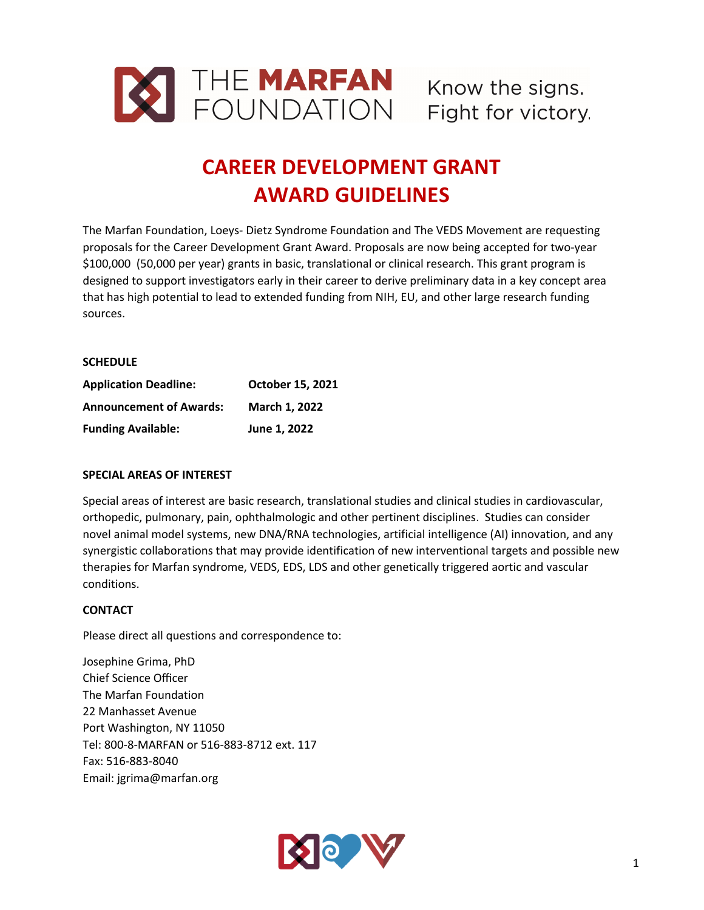

# **CAREER DEVELOPMENT GRANT AWARD GUIDELINES**

The Marfan Foundation, Loeys- Dietz Syndrome Foundation and The VEDS Movement are requesting proposals for the Career Development Grant Award. Proposals are now being accepted for two-year \$100,000 (50,000 per year) grants in basic, translational or clinical research. This grant program is designed to support investigators early in their career to derive preliminary data in a key concept area that has high potential to lead to extended funding from NIH, EU, and other large research funding sources.

## **SCHEDULE**

| <b>Application Deadline:</b>   | <b>October 15, 2021</b> |
|--------------------------------|-------------------------|
| <b>Announcement of Awards:</b> | <b>March 1.2022</b>     |
| <b>Funding Available:</b>      | June 1, 2022            |

## **SPECIAL AREAS OF INTEREST**

Special areas of interest are basic research, translational studies and clinical studies in cardiovascular, orthopedic, pulmonary, pain, ophthalmologic and other pertinent disciplines. Studies can consider novel animal model systems, new DNA/RNA technologies, artificial intelligence (AI) innovation, and any synergistic collaborations that may provide identification of new interventional targets and possible new therapies for Marfan syndrome, VEDS, EDS, LDS and other genetically triggered aortic and vascular conditions.

## **CONTACT**

Please direct all questions and correspondence to:

Josephine Grima, PhD Chief Science Officer The Marfan Foundation 22 Manhasset Avenue Port Washington, NY 11050 Tel: 800-8-MARFAN or 516-883-8712 ext. 117 Fax: 516-883-8040 Email: jgrima@marfan.org

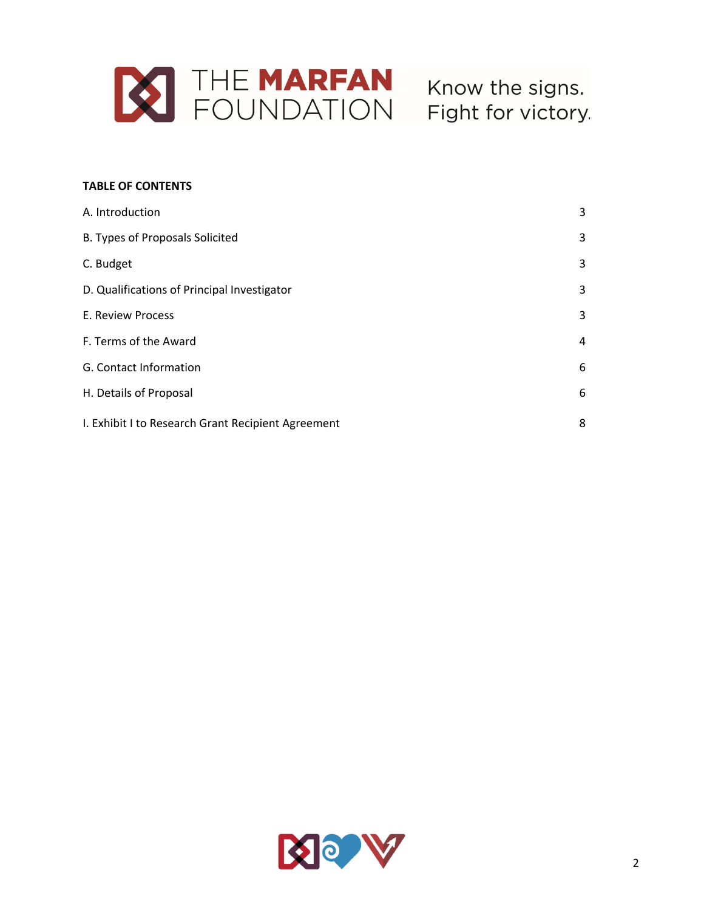

# **TABLE OF CONTENTS**

| A. Introduction                                    | 3 |
|----------------------------------------------------|---|
| B. Types of Proposals Solicited                    | 3 |
| C. Budget                                          | 3 |
| D. Qualifications of Principal Investigator        | 3 |
| E. Review Process                                  | 3 |
| F. Terms of the Award                              | 4 |
| G. Contact Information                             | 6 |
| H. Details of Proposal                             | 6 |
| I. Exhibit I to Research Grant Recipient Agreement | 8 |

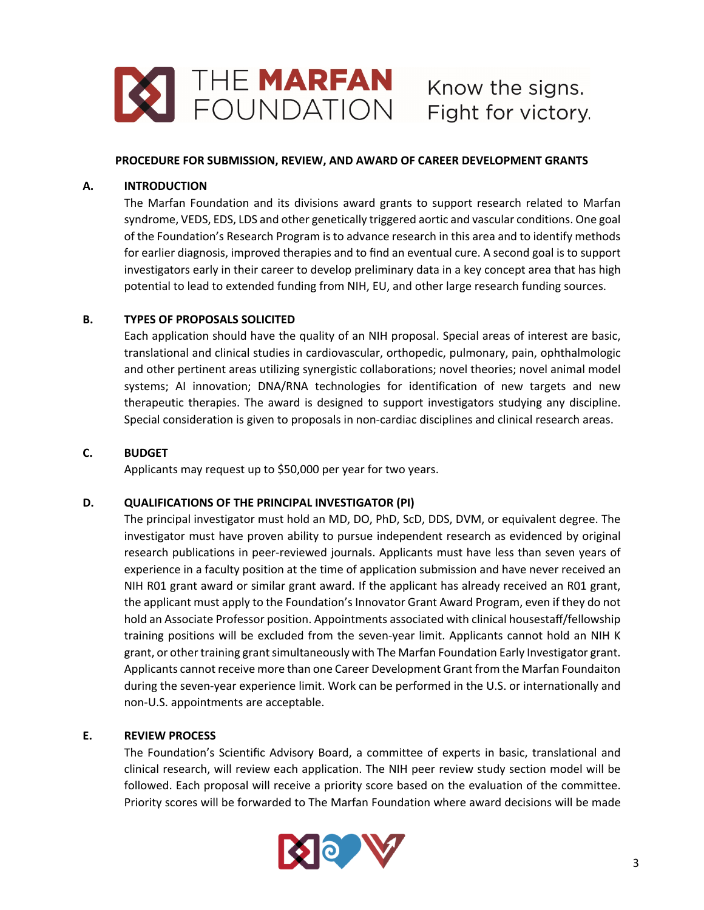

#### **PROCEDURE FOR SUBMISSION, REVIEW, AND AWARD OF CAREER DEVELOPMENT GRANTS**

## **A. INTRODUCTION**

The Marfan Foundation and its divisions award grants to support research related to Marfan syndrome, VEDS, EDS, LDS and other genetically triggered aortic and vascular conditions. One goal of the Foundation's Research Program is to advance research in this area and to identify methods for earlier diagnosis, improved therapies and to find an eventual cure. A second goal is to support investigators early in their career to develop preliminary data in a key concept area that has high potential to lead to extended funding from NIH, EU, and other large research funding sources.

# **B. TYPES OF PROPOSALS SOLICITED**

Each application should have the quality of an NIH proposal. Special areas of interest are basic, translational and clinical studies in cardiovascular, orthopedic, pulmonary, pain, ophthalmologic and other pertinent areas utilizing synergistic collaborations; novel theories; novel animal model systems; AI innovation; DNA/RNA technologies for identification of new targets and new therapeutic therapies. The award is designed to support investigators studying any discipline. Special consideration is given to proposals in non-cardiac disciplines and clinical research areas.

# **C. BUDGET**

Applicants may request up to \$50,000 per year for two years.

## **D. QUALIFICATIONS OF THE PRINCIPAL INVESTIGATOR (PI)**

The principal investigator must hold an MD, DO, PhD, ScD, DDS, DVM, or equivalent degree. The investigator must have proven ability to pursue independent research as evidenced by original research publications in peer-reviewed journals. Applicants must have less than seven years of experience in a faculty position at the time of application submission and have never received an NIH R01 grant award or similar grant award. If the applicant has already received an R01 grant, the applicant must apply to the Foundation's Innovator Grant Award Program, even if they do not hold an Associate Professor position. Appointments associated with clinical housestaff/fellowship training positions will be excluded from the seven-year limit. Applicants cannot hold an NIH K grant, or other training grant simultaneously with The Marfan Foundation Early Investigator grant. Applicants cannot receive more than one Career Development Grant from the Marfan Foundaiton during the seven-year experience limit. Work can be performed in the U.S. or internationally and non-U.S. appointments are acceptable.

## **E. REVIEW PROCESS**

The Foundation's Scientific Advisory Board, a committee of experts in basic, translational and clinical research, will review each application. The NIH peer review study section model will be followed. Each proposal will receive a priority score based on the evaluation of the committee. Priority scores will be forwarded to The Marfan Foundation where award decisions will be made

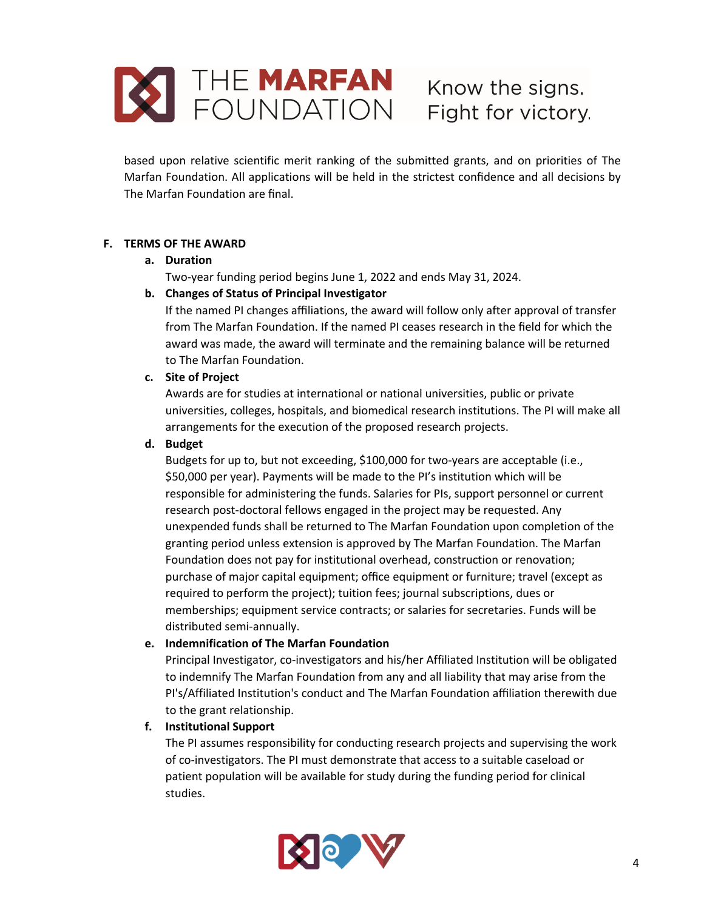

based upon relative scientific merit ranking of the submitted grants, and on priorities of The Marfan Foundation. All applications will be held in the strictest confidence and all decisions by The Marfan Foundation are final.

# **F. TERMS OF THE AWARD**

## **a. Duration**

Two-year funding period begins June 1, 2022 and ends May 31, 2024.

# **b. Changes of Status of Principal Investigator**

If the named PI changes affiliations, the award will follow only after approval of transfer from The Marfan Foundation. If the named PI ceases research in the field for which the award was made, the award will terminate and the remaining balance will be returned to The Marfan Foundation.

## **c. Site of Project**

Awards are for studies at international or national universities, public or private universities, colleges, hospitals, and biomedical research institutions. The PI will make all arrangements for the execution of the proposed research projects.

## **d. Budget**

Budgets for up to, but not exceeding, \$100,000 for two-years are acceptable (i.e., \$50,000 per year). Payments will be made to the PI's institution which will be responsible for administering the funds. Salaries for PIs, support personnel or current research post-doctoral fellows engaged in the project may be requested. Any unexpended funds shall be returned to The Marfan Foundation upon completion of the granting period unless extension is approved by The Marfan Foundation. The Marfan Foundation does not pay for institutional overhead, construction or renovation; purchase of major capital equipment; office equipment or furniture; travel (except as required to perform the project); tuition fees; journal subscriptions, dues or memberships; equipment service contracts; or salaries for secretaries. Funds will be distributed semi-annually.

## **e. Indemnification of The Marfan Foundation**

Principal Investigator, co-investigators and his/her Affiliated Institution will be obligated to indemnify The Marfan Foundation from any and all liability that may arise from the PI's/Affiliated Institution's conduct and The Marfan Foundation affiliation therewith due to the grant relationship.

## **f. Institutional Support**

The PI assumes responsibility for conducting research projects and supervising the work of co-investigators. The PI must demonstrate that access to a suitable caseload or patient population will be available for study during the funding period for clinical studies.

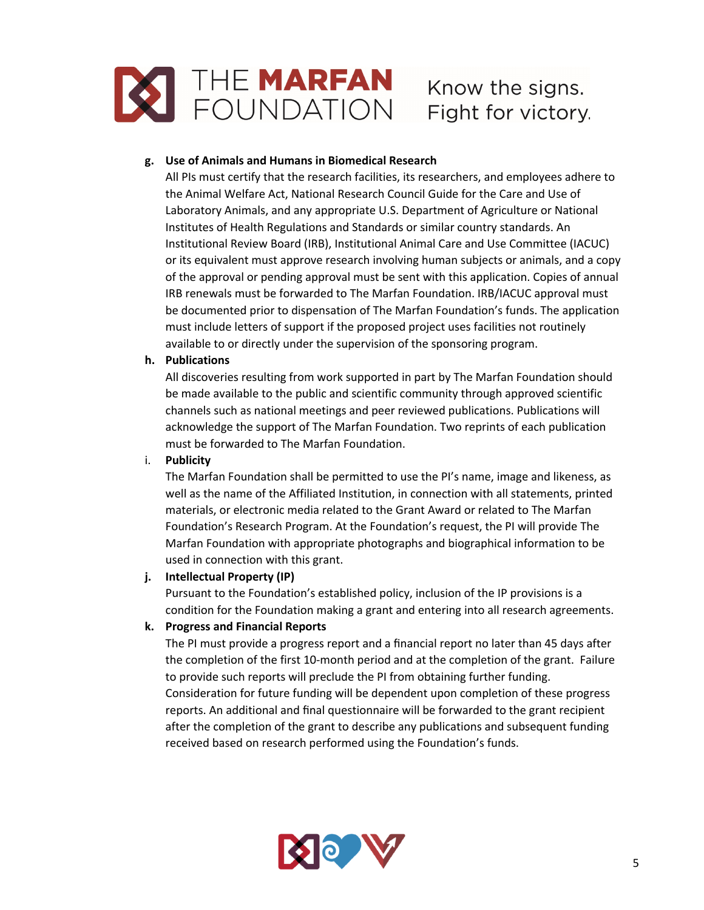

# **g. Use of Animals and Humans in Biomedical Research**

All PIs must certify that the research facilities, its researchers, and employees adhere to the Animal Welfare Act, National Research Council Guide for the Care and Use of Laboratory Animals, and any appropriate U.S. Department of Agriculture or National Institutes of Health Regulations and Standards or similar country standards. An Institutional Review Board (IRB), Institutional Animal Care and Use Committee (IACUC) or its equivalent must approve research involving human subjects or animals, and a copy of the approval or pending approval must be sent with this application. Copies of annual IRB renewals must be forwarded to The Marfan Foundation. IRB/IACUC approval must be documented prior to dispensation of The Marfan Foundation's funds. The application must include letters of support if the proposed project uses facilities not routinely available to or directly under the supervision of the sponsoring program.

# **h. Publications**

All discoveries resulting from work supported in part by The Marfan Foundation should be made available to the public and scientific community through approved scientific channels such as national meetings and peer reviewed publications. Publications will acknowledge the support of The Marfan Foundation. Two reprints of each publication must be forwarded to The Marfan Foundation.

# i. **Publicity**

The Marfan Foundation shall be permitted to use the PI's name, image and likeness, as well as the name of the Affiliated Institution, in connection with all statements, printed materials, or electronic media related to the Grant Award or related to The Marfan Foundation's Research Program. At the Foundation's request, the PI will provide The Marfan Foundation with appropriate photographs and biographical information to be used in connection with this grant.

# **j. Intellectual Property (IP)**

Pursuant to the Foundation's established policy, inclusion of the IP provisions is a condition for the Foundation making a grant and entering into all research agreements.

# **k. Progress and Financial Reports**

The PI must provide a progress report and a financial report no later than 45 days after the completion of the first 10-month period and at the completion of the grant. Failure to provide such reports will preclude the PI from obtaining further funding. Consideration for future funding will be dependent upon completion of these progress reports. An additional and final questionnaire will be forwarded to the grant recipient after the completion of the grant to describe any publications and subsequent funding received based on research performed using the Foundation's funds.

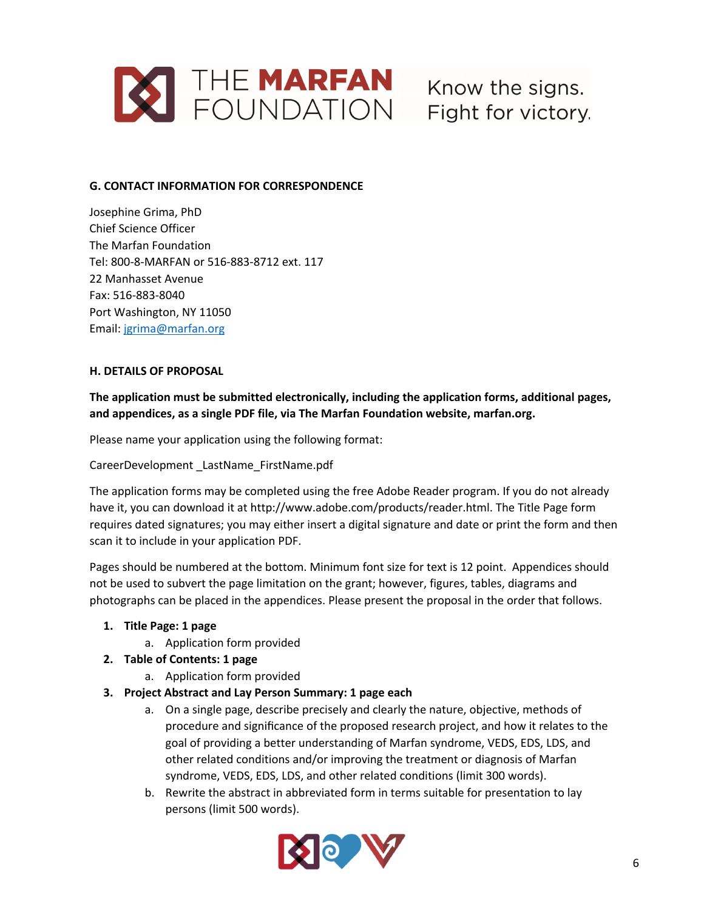

# **G. CONTACT INFORMATION FOR CORRESPONDENCE**

Josephine Grima, PhD Chief Science Officer The Marfan Foundation Tel: 800-8-MARFAN or 516-883-8712 ext. 117 22 Manhasset Avenue Fax: 516-883-8040 Port Washington, NY 11050 Email: jgrima@marfan.org

#### **H. DETAILS OF PROPOSAL**

**The application must be submitted electronically, including the application forms, additional pages, and appendices, as a single PDF file, via The Marfan Foundation website, marfan.org.**

Please name your application using the following format:

CareerDevelopment \_LastName\_FirstName.pdf

The application forms may be completed using the free Adobe Reader program. If you do not already have it, you can download it at http://www.adobe.com/products/reader.html. The Title Page form requires dated signatures; you may either insert a digital signature and date or print the form and then scan it to include in your application PDF.

Pages should be numbered at the bottom. Minimum font size for text is 12 point. Appendices should not be used to subvert the page limitation on the grant; however, figures, tables, diagrams and photographs can be placed in the appendices. Please present the proposal in the order that follows.

- **1. Title Page: 1 page**
	- a. Application form provided
- **2. Table of Contents: 1 page**
	- a. Application form provided
- **3. Project Abstract and Lay Person Summary: 1 page each**
	- a. On a single page, describe precisely and clearly the nature, objective, methods of procedure and significance of the proposed research project, and how it relates to the goal of providing a better understanding of Marfan syndrome, VEDS, EDS, LDS, and other related conditions and/or improving the treatment or diagnosis of Marfan syndrome, VEDS, EDS, LDS, and other related conditions (limit 300 words).
	- b. Rewrite the abstract in abbreviated form in terms suitable for presentation to lay persons (limit 500 words).

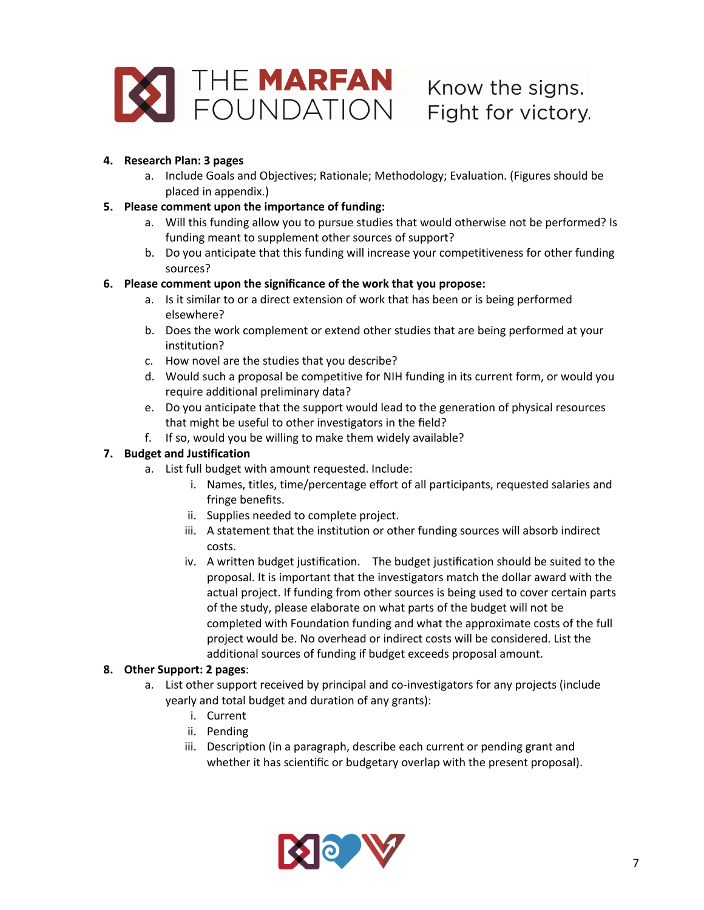

# **4. Research Plan: 3 pages**

a. Include Goals and Objectives; Rationale; Methodology; Evaluation. (Figures should be placed in appendix.)

# **5. Please comment upon the importance of funding:**

- a. Will this funding allow you to pursue studies that would otherwise not be performed? Is funding meant to supplement other sources of support?
- b. Do you anticipate that this funding will increase your competitiveness for other funding sources?

# **6. Please comment upon the significance of the work that you propose:**

- a. Is it similar to or a direct extension of work that has been or is being performed elsewhere?
- b. Does the work complement or extend other studies that are being performed at your institution?
- c. How novel are the studies that you describe?
- d. Would such a proposal be competitive for NIH funding in its current form, or would you require additional preliminary data?
- e. Do you anticipate that the support would lead to the generation of physical resources that might be useful to other investigators in the field?
- f. If so, would you be willing to make them widely available?

# **7. Budget and Justification**

- a. List full budget with amount requested. Include:
	- i. Names, titles, time/percentage effort of all participants, requested salaries and fringe benefits.
	- ii. Supplies needed to complete project.
	- iii. A statement that the institution or other funding sources will absorb indirect costs.
	- iv. A written budget justification. The budget justification should be suited to the proposal. It is important that the investigators match the dollar award with the actual project. If funding from other sources is being used to cover certain parts of the study, please elaborate on what parts of the budget will not be completed with Foundation funding and what the approximate costs of the full project would be. No overhead or indirect costs will be considered. List the additional sources of funding if budget exceeds proposal amount.

# **8. Other Support: 2 pages**:

- a. List other support received by principal and co-investigators for any projects (include yearly and total budget and duration of any grants):
	- i. Current
	- ii. Pending
	- iii. Description (in a paragraph, describe each current or pending grant and whether it has scientific or budgetary overlap with the present proposal).

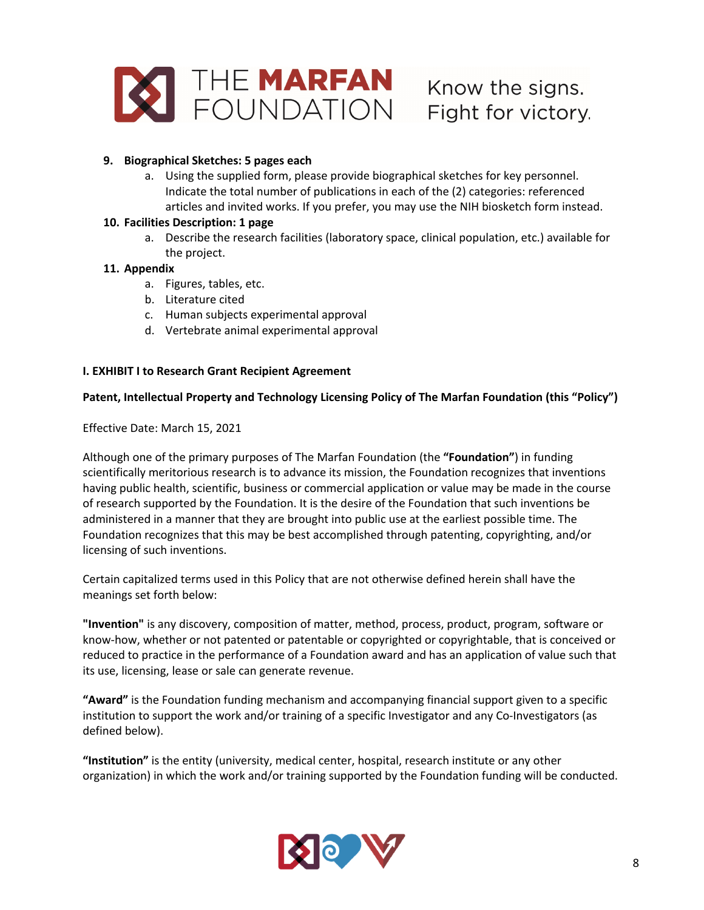

# **9. Biographical Sketches: 5 pages each**

a. Using the supplied form, please provide biographical sketches for key personnel. Indicate the total number of publications in each of the (2) categories: referenced articles and invited works. If you prefer, you may use the NIH biosketch form instead.

#### **10. Facilities Description: 1 page**

a. Describe the research facilities (laboratory space, clinical population, etc.) available for the project.

## **11. Appendix**

- a. Figures, tables, etc.
- b. Literature cited
- c. Human subjects experimental approval
- d. Vertebrate animal experimental approval

## **I. EXHIBIT I to Research Grant Recipient Agreement**

## **Patent, Intellectual Property and Technology Licensing Policy of The Marfan Foundation (this "Policy")**

## Effective Date: March 15, 2021

Although one of the primary purposes of The Marfan Foundation (the **"Foundation"**) in funding scientifically meritorious research is to advance its mission, the Foundation recognizes that inventions having public health, scientific, business or commercial application or value may be made in the course of research supported by the Foundation. It is the desire of the Foundation that such inventions be administered in a manner that they are brought into public use at the earliest possible time. The Foundation recognizes that this may be best accomplished through patenting, copyrighting, and/or licensing of such inventions.

Certain capitalized terms used in this Policy that are not otherwise defined herein shall have the meanings set forth below:

**"Invention"** is any discovery, composition of matter, method, process, product, program, software or know-how, whether or not patented or patentable or copyrighted or copyrightable, that is conceived or reduced to practice in the performance of a Foundation award and has an application of value such that its use, licensing, lease or sale can generate revenue.

**"Award"** is the Foundation funding mechanism and accompanying financial support given to a specific institution to support the work and/or training of a specific Investigator and any Co-Investigators (as defined below).

**"Institution"** is the entity (university, medical center, hospital, research institute or any other organization) in which the work and/or training supported by the Foundation funding will be conducted.

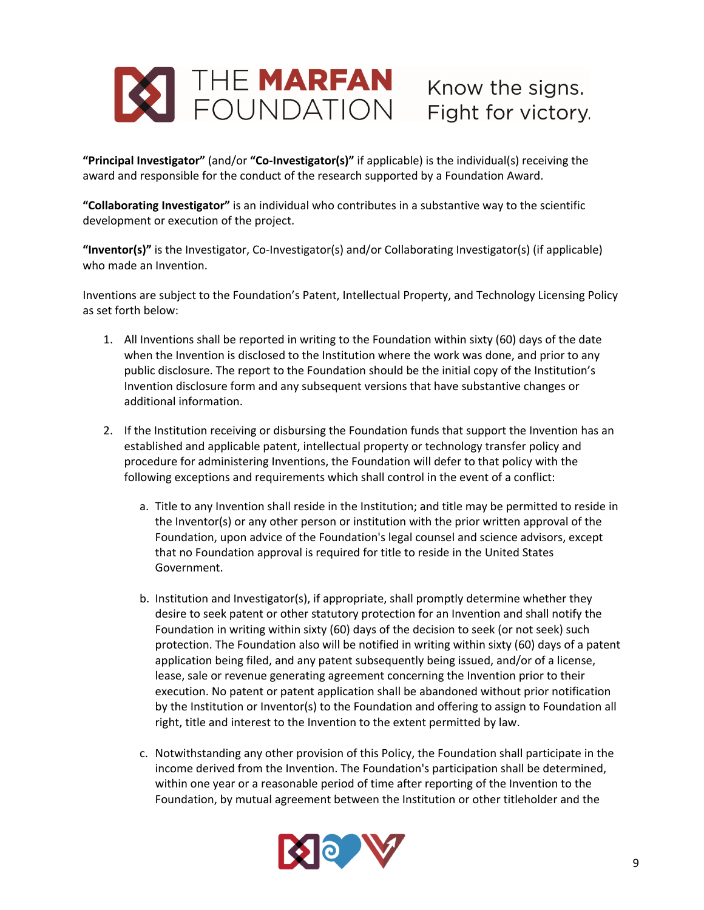

**"Principal Investigator"** (and/or **"Co-Investigator(s)"** if applicable) is the individual(s) receiving the award and responsible for the conduct of the research supported by a Foundation Award.

**"Collaborating Investigator"** is an individual who contributes in a substantive way to the scientific development or execution of the project.

**"Inventor(s)"** is the Investigator, Co-Investigator(s) and/or Collaborating Investigator(s) (if applicable) who made an Invention.

Inventions are subject to the Foundation's Patent, Intellectual Property, and Technology Licensing Policy as set forth below:

- 1. All Inventions shall be reported in writing to the Foundation within sixty (60) days of the date when the Invention is disclosed to the Institution where the work was done, and prior to any public disclosure. The report to the Foundation should be the initial copy of the Institution's Invention disclosure form and any subsequent versions that have substantive changes or additional information.
- 2. If the Institution receiving or disbursing the Foundation funds that support the Invention has an established and applicable patent, intellectual property or technology transfer policy and procedure for administering Inventions, the Foundation will defer to that policy with the following exceptions and requirements which shall control in the event of a conflict:
	- a. Title to any Invention shall reside in the Institution; and title may be permitted to reside in the Inventor(s) or any other person or institution with the prior written approval of the Foundation, upon advice of the Foundation's legal counsel and science advisors, except that no Foundation approval is required for title to reside in the United States Government.
	- b. Institution and Investigator(s), if appropriate, shall promptly determine whether they desire to seek patent or other statutory protection for an Invention and shall notify the Foundation in writing within sixty (60) days of the decision to seek (or not seek) such protection. The Foundation also will be notified in writing within sixty (60) days of a patent application being filed, and any patent subsequently being issued, and/or of a license, lease, sale or revenue generating agreement concerning the Invention prior to their execution. No patent or patent application shall be abandoned without prior notification by the Institution or Inventor(s) to the Foundation and offering to assign to Foundation all right, title and interest to the Invention to the extent permitted by law.
	- c. Notwithstanding any other provision of this Policy, the Foundation shall participate in the income derived from the Invention. The Foundation's participation shall be determined, within one year or a reasonable period of time after reporting of the Invention to the Foundation, by mutual agreement between the Institution or other titleholder and the

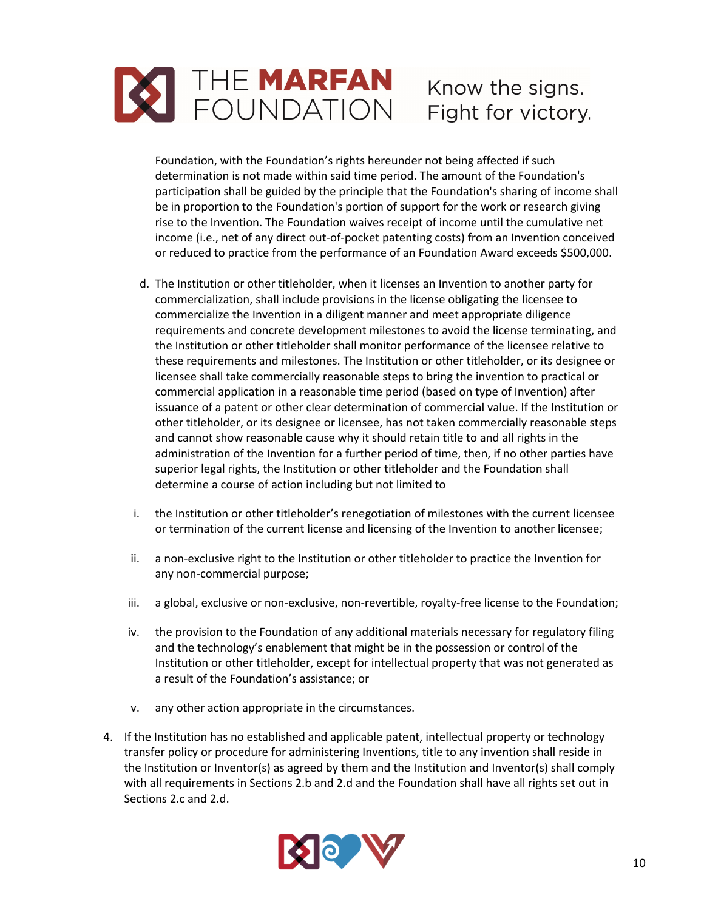

Foundation, with the Foundation's rights hereunder not being affected if such determination is not made within said time period. The amount of the Foundation's participation shall be guided by the principle that the Foundation's sharing of income shall be in proportion to the Foundation's portion of support for the work or research giving rise to the Invention. The Foundation waives receipt of income until the cumulative net income (i.e., net of any direct out-of-pocket patenting costs) from an Invention conceived or reduced to practice from the performance of an Foundation Award exceeds \$500,000.

- d. The Institution or other titleholder, when it licenses an Invention to another party for commercialization, shall include provisions in the license obligating the licensee to commercialize the Invention in a diligent manner and meet appropriate diligence requirements and concrete development milestones to avoid the license terminating, and the Institution or other titleholder shall monitor performance of the licensee relative to these requirements and milestones. The Institution or other titleholder, or its designee or licensee shall take commercially reasonable steps to bring the invention to practical or commercial application in a reasonable time period (based on type of Invention) after issuance of a patent or other clear determination of commercial value. If the Institution or other titleholder, or its designee or licensee, has not taken commercially reasonable steps and cannot show reasonable cause why it should retain title to and all rights in the administration of the Invention for a further period of time, then, if no other parties have superior legal rights, the Institution or other titleholder and the Foundation shall determine a course of action including but not limited to
- i. the Institution or other titleholder's renegotiation of milestones with the current licensee or termination of the current license and licensing of the Invention to another licensee;
- ii. a non-exclusive right to the Institution or other titleholder to practice the Invention for any non-commercial purpose;
- iii. a global, exclusive or non-exclusive, non-revertible, royalty-free license to the Foundation;
- iv. the provision to the Foundation of any additional materials necessary for regulatory filing and the technology's enablement that might be in the possession or control of the Institution or other titleholder, except for intellectual property that was not generated as a result of the Foundation's assistance; or
- v. any other action appropriate in the circumstances.
- 4. If the Institution has no established and applicable patent, intellectual property or technology transfer policy or procedure for administering Inventions, title to any invention shall reside in the Institution or Inventor(s) as agreed by them and the Institution and Inventor(s) shall comply with all requirements in Sections 2.b and 2.d and the Foundation shall have all rights set out in Sections 2.c and 2.d.